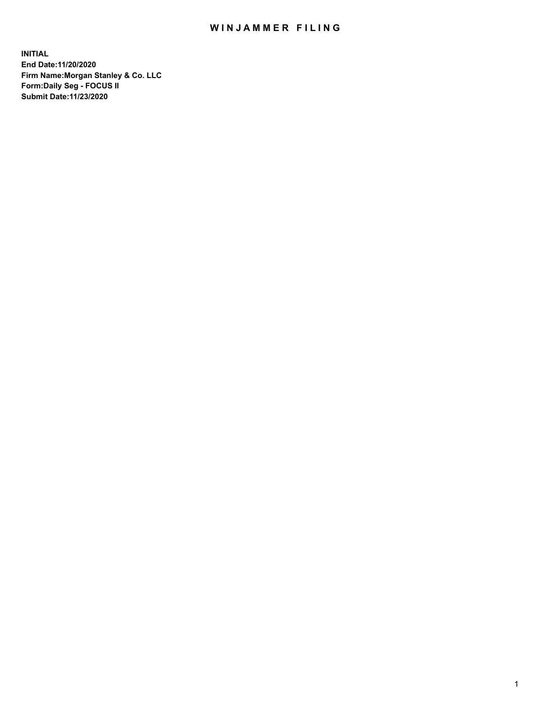## WIN JAMMER FILING

**INITIAL End Date:11/20/2020 Firm Name:Morgan Stanley & Co. LLC Form:Daily Seg - FOCUS II Submit Date:11/23/2020**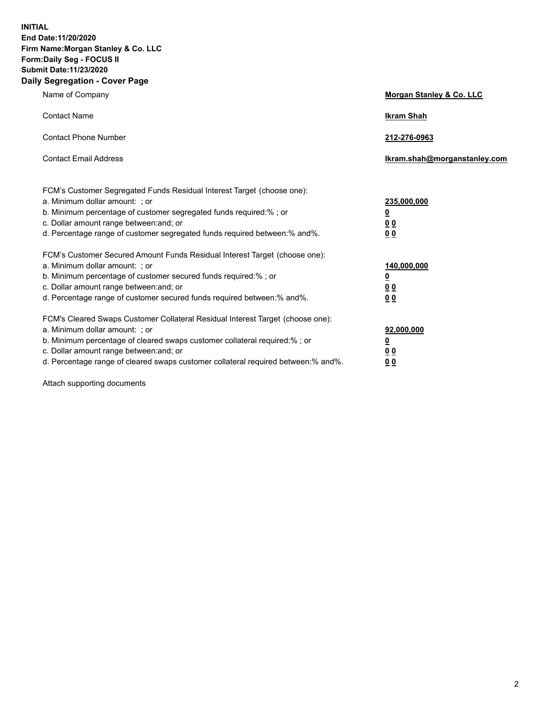**INITIAL End Date:11/20/2020 Firm Name:Morgan Stanley & Co. LLC Form:Daily Seg - FOCUS II Submit Date:11/23/2020 Daily Segregation - Cover Page**

| Name of Company                                                                                                                                                                                                                                                                                                                | Morgan Stanley & Co. LLC                                |
|--------------------------------------------------------------------------------------------------------------------------------------------------------------------------------------------------------------------------------------------------------------------------------------------------------------------------------|---------------------------------------------------------|
| <b>Contact Name</b>                                                                                                                                                                                                                                                                                                            | <b>Ikram Shah</b>                                       |
| <b>Contact Phone Number</b>                                                                                                                                                                                                                                                                                                    | 212-276-0963                                            |
| <b>Contact Email Address</b>                                                                                                                                                                                                                                                                                                   | Ikram.shah@morganstanley.com                            |
| FCM's Customer Segregated Funds Residual Interest Target (choose one):<br>a. Minimum dollar amount: ; or<br>b. Minimum percentage of customer segregated funds required:%; or<br>c. Dollar amount range between: and; or<br>d. Percentage range of customer segregated funds required between: % and %.                        | 235,000,000<br><u>0</u><br>00<br>0 Q                    |
| FCM's Customer Secured Amount Funds Residual Interest Target (choose one):<br>a. Minimum dollar amount: ; or<br>b. Minimum percentage of customer secured funds required:%; or<br>c. Dollar amount range between: and; or<br>d. Percentage range of customer secured funds required between:% and%.                            | 140,000,000<br><u>0</u><br><u>0 0</u><br>0 <sub>0</sub> |
| FCM's Cleared Swaps Customer Collateral Residual Interest Target (choose one):<br>a. Minimum dollar amount: ; or<br>b. Minimum percentage of cleared swaps customer collateral required:% ; or<br>c. Dollar amount range between: and; or<br>d. Percentage range of cleared swaps customer collateral required between:% and%. | 92,000,000<br><u>0</u><br><u>00</u><br>00               |

Attach supporting documents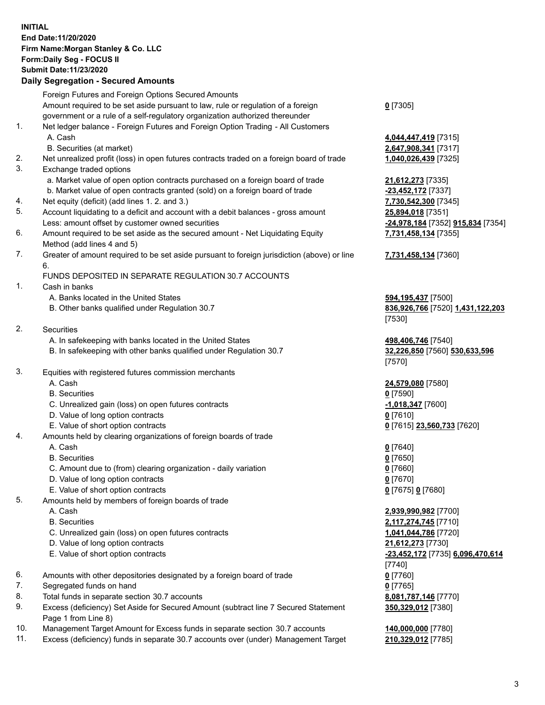## **INITIAL End Date:11/20/2020 Firm Name:Morgan Stanley & Co. LLC Form:Daily Seg - FOCUS II Submit Date:11/23/2020**

## **Daily Segregation - Secured Amounts**

|          | Foreign Futures and Foreign Options Secured Amounts                                                                  |                                   |
|----------|----------------------------------------------------------------------------------------------------------------------|-----------------------------------|
|          | Amount required to be set aside pursuant to law, rule or regulation of a foreign                                     | $0$ [7305]                        |
|          | government or a rule of a self-regulatory organization authorized thereunder                                         |                                   |
| 1.       | Net ledger balance - Foreign Futures and Foreign Option Trading - All Customers                                      |                                   |
|          | A. Cash                                                                                                              | 4,044,447,419 [7315]              |
| 2.       | B. Securities (at market)                                                                                            | 2,647,908,341 [7317]              |
| 3.       | Net unrealized profit (loss) in open futures contracts traded on a foreign board of trade<br>Exchange traded options | 1,040,026,439 [7325]              |
|          | a. Market value of open option contracts purchased on a foreign board of trade                                       | 21,612,273 [7335]                 |
|          | b. Market value of open contracts granted (sold) on a foreign board of trade                                         | -23,452,172 [7337]                |
| 4.       | Net equity (deficit) (add lines 1.2. and 3.)                                                                         | 7,730,542,300 [7345]              |
| 5.<br>6. | Account liquidating to a deficit and account with a debit balances - gross amount                                    | 25,894,018 [7351]                 |
|          | Less: amount offset by customer owned securities                                                                     | -24,978,184 [7352] 915,834 [7354] |
|          | Amount required to be set aside as the secured amount - Net Liquidating Equity                                       | 7,731,458,134 [7355]              |
|          | Method (add lines 4 and 5)                                                                                           |                                   |
| 7.       | Greater of amount required to be set aside pursuant to foreign jurisdiction (above) or line<br>6.                    | 7,731,458,134 [7360]              |
|          | FUNDS DEPOSITED IN SEPARATE REGULATION 30.7 ACCOUNTS                                                                 |                                   |
| 1.       | Cash in banks                                                                                                        |                                   |
|          | A. Banks located in the United States                                                                                | 594,195,437 [7500]                |
|          | B. Other banks qualified under Regulation 30.7                                                                       | 836,926,766 [7520] 1,431,122,203  |
|          |                                                                                                                      | [7530]                            |
| 2.       | Securities                                                                                                           |                                   |
|          | A. In safekeeping with banks located in the United States                                                            | 498,406,746 [7540]                |
|          | B. In safekeeping with other banks qualified under Regulation 30.7                                                   | 32,226,850 [7560] 530,633,596     |
|          |                                                                                                                      | [7570]                            |
| 3.       | Equities with registered futures commission merchants                                                                |                                   |
|          | A. Cash                                                                                                              | 24,579,080 [7580]                 |
|          | <b>B.</b> Securities                                                                                                 | $0$ [7590]                        |
|          | C. Unrealized gain (loss) on open futures contracts                                                                  | -1,018,347 [7600]                 |
|          | D. Value of long option contracts                                                                                    | $0$ [7610]                        |
|          | E. Value of short option contracts                                                                                   | 0 [7615] 23,560,733 [7620]        |
| 4.       | Amounts held by clearing organizations of foreign boards of trade                                                    |                                   |
|          | A. Cash                                                                                                              | $0$ [7640]                        |
|          | <b>B.</b> Securities                                                                                                 | $0$ [7650]                        |
|          | C. Amount due to (from) clearing organization - daily variation                                                      | $0$ [7660]                        |
|          | D. Value of long option contracts                                                                                    | $0$ [7670]                        |
|          | E. Value of short option contracts                                                                                   | 0 [7675] 0 [7680]                 |
| 5.       | Amounts held by members of foreign boards of trade                                                                   |                                   |
|          | A. Cash                                                                                                              | 2,939,990,982 [7700]              |
|          | <b>B.</b> Securities                                                                                                 | 2,117,274,745 [7710]              |
|          | C. Unrealized gain (loss) on open futures contracts                                                                  | 1,041,044,786 [7720]              |
|          | D. Value of long option contracts                                                                                    | 21,612,273 [7730]                 |
|          | E. Value of short option contracts                                                                                   | -23,452,172 [7735] 6,096,470,614  |
|          |                                                                                                                      | [7740]                            |
| 6.       | Amounts with other depositories designated by a foreign board of trade                                               | $0$ [7760]                        |
| 7.       | Segregated funds on hand                                                                                             | $0$ [7765]                        |
| 8.       | Total funds in separate section 30.7 accounts                                                                        | 8,081,787,146 [7770]              |
| 9.       | Excess (deficiency) Set Aside for Secured Amount (subtract line 7 Secured Statement                                  | 350,329,012 [7380]                |
|          | Page 1 from Line 8)                                                                                                  |                                   |

- 10. Management Target Amount for Excess funds in separate section 30.7 accounts **140,000,000** [7780]
- 11. Excess (deficiency) funds in separate 30.7 accounts over (under) Management Target **210,329,012** [7785]

3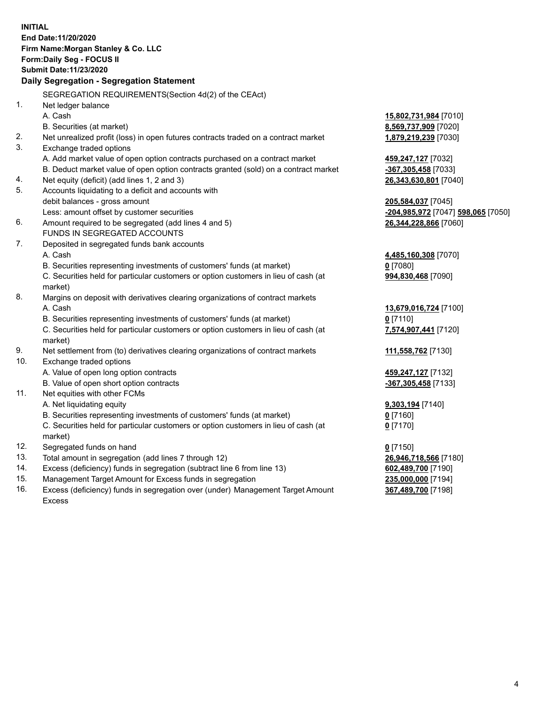|     | <b>INITIAL</b><br>End Date: 11/20/2020<br>Firm Name: Morgan Stanley & Co. LLC<br>Form: Daily Seg - FOCUS II<br>Submit Date: 11/23/2020 |                                                 |
|-----|----------------------------------------------------------------------------------------------------------------------------------------|-------------------------------------------------|
|     | Daily Segregation - Segregation Statement                                                                                              |                                                 |
|     | SEGREGATION REQUIREMENTS(Section 4d(2) of the CEAct)                                                                                   |                                                 |
| 1.  | Net ledger balance                                                                                                                     |                                                 |
|     | A. Cash                                                                                                                                | 15,802,731,984 [7010]                           |
|     | B. Securities (at market)                                                                                                              | 8,569,737,909 [7020]                            |
| 2.  | Net unrealized profit (loss) in open futures contracts traded on a contract market                                                     | 1,879,219,239 [7030]                            |
| 3.  | Exchange traded options                                                                                                                |                                                 |
|     | A. Add market value of open option contracts purchased on a contract market                                                            | 459,247,127 [7032]                              |
|     | B. Deduct market value of open option contracts granted (sold) on a contract market                                                    | -367,305,458 [7033]                             |
| 4.  | Net equity (deficit) (add lines 1, 2 and 3)                                                                                            | 26,343,630,801 [7040]                           |
| 5.  | Accounts liquidating to a deficit and accounts with                                                                                    |                                                 |
|     | debit balances - gross amount                                                                                                          | 205,584,037 [7045]                              |
|     | Less: amount offset by customer securities                                                                                             | <mark>-204,985,972</mark> [7047] 598,065 [7050] |
| 6.  | Amount required to be segregated (add lines 4 and 5)                                                                                   | 26,344,228,866 [7060]                           |
|     | FUNDS IN SEGREGATED ACCOUNTS                                                                                                           |                                                 |
| 7.  | Deposited in segregated funds bank accounts                                                                                            |                                                 |
|     | A. Cash                                                                                                                                | 4,485,160,308 [7070]                            |
|     | B. Securities representing investments of customers' funds (at market)                                                                 | $0$ [7080]                                      |
|     | C. Securities held for particular customers or option customers in lieu of cash (at                                                    | 994,830,468 [7090]                              |
|     | market)                                                                                                                                |                                                 |
| 8.  | Margins on deposit with derivatives clearing organizations of contract markets                                                         |                                                 |
|     | A. Cash                                                                                                                                | 13,679,016,724 [7100]                           |
|     | B. Securities representing investments of customers' funds (at market)                                                                 | $0$ [7110]                                      |
|     | C. Securities held for particular customers or option customers in lieu of cash (at                                                    | 7,574,907,441 [7120]                            |
|     | market)                                                                                                                                |                                                 |
| 9.  | Net settlement from (to) derivatives clearing organizations of contract markets                                                        | 111,558,762 [7130]                              |
| 10. | Exchange traded options                                                                                                                |                                                 |
|     | A. Value of open long option contracts                                                                                                 | 459,247,127 [7132]                              |
|     | B. Value of open short option contracts                                                                                                | -367,305,458 [7133]                             |
| 11. | Net equities with other FCMs                                                                                                           |                                                 |
|     | A. Net liquidating equity                                                                                                              | 9,303,194 [7140]                                |
|     | B. Securities representing investments of customers' funds (at market)                                                                 | $0$ [7160]                                      |
|     | C. Securities held for particular customers or option customers in lieu of cash (at                                                    | $0$ [7170]                                      |
|     | market)                                                                                                                                |                                                 |
| 12. | Segregated funds on hand                                                                                                               | $0$ [7150]                                      |
| 13. | Total amount in segregation (add lines 7 through 12)                                                                                   | 26,946,718,566 [7180]                           |
| 14. | Excess (deficiency) funds in segregation (subtract line 6 from line 13)                                                                | 602,489,700 [7190]                              |
| 15. | Management Target Amount for Excess funds in segregation                                                                               | 235,000,000 [7194]                              |
| 16. | Excess (deficiency) funds in segregation over (under) Management Target Amount                                                         | 367,489,700 [7198]                              |

16. Excess (deficiency) funds in segregation over (under) Management Target Amount Excess